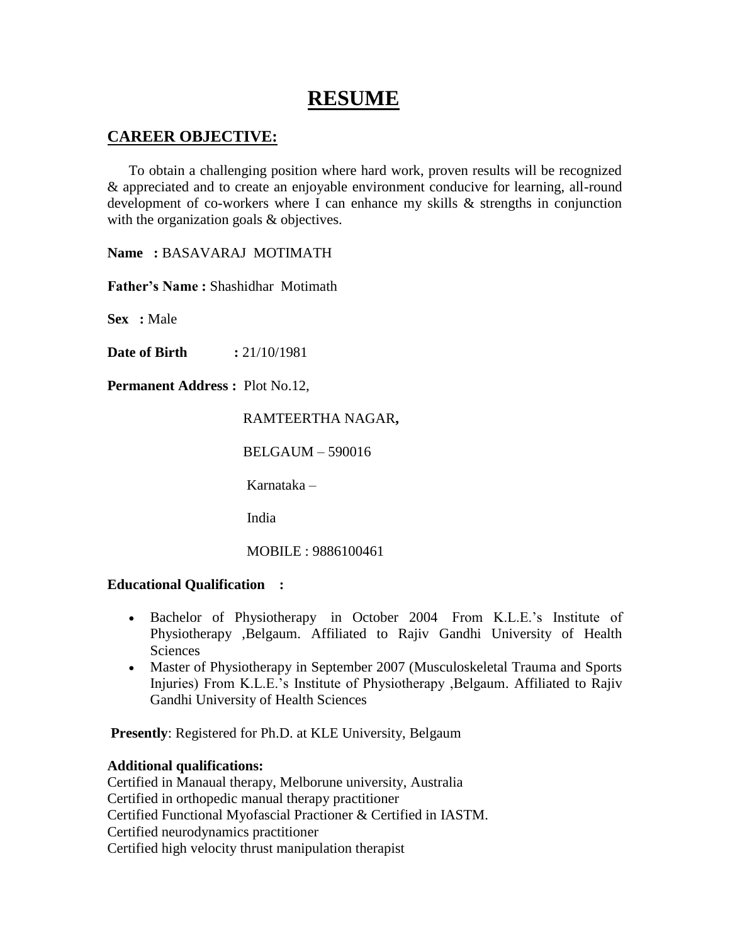# **RESUME**

## **CAREER OBJECTIVE:**

 To obtain a challenging position where hard work, proven results will be recognized & appreciated and to create an enjoyable environment conducive for learning, all-round development of co-workers where I can enhance my skills & strengths in conjunction with the organization goals & objectives.

**Name :** BASAVARAJ MOTIMATH

**Father's Name :** Shashidhar Motimath

**Sex :** Male

**Date of Birth :** 21/10/1981

**Permanent Address :** Plot No.12,

## RAMTEERTHA NAGAR**,**

BELGAUM – 590016

Karnataka –

India

MOBILE : 9886100461

#### **Educational Qualification :**

- Bachelor of Physiotherapy in October 2004 From K.L.E.'s Institute of Physiotherapy ,Belgaum. Affiliated to Rajiv Gandhi University of Health Sciences
- Master of Physiotherapy in September 2007 (Musculoskeletal Trauma and Sports Injuries) From K.L.E.'s Institute of Physiotherapy ,Belgaum. Affiliated to Rajiv Gandhi University of Health Sciences

**Presently**: Registered for Ph.D. at KLE University, Belgaum

## **Additional qualifications:**

Certified in Manaual therapy, Melborune university, Australia Certified in orthopedic manual therapy practitioner Certified Functional Myofascial Practioner & Certified in IASTM. Certified neurodynamics practitioner Certified high velocity thrust manipulation therapist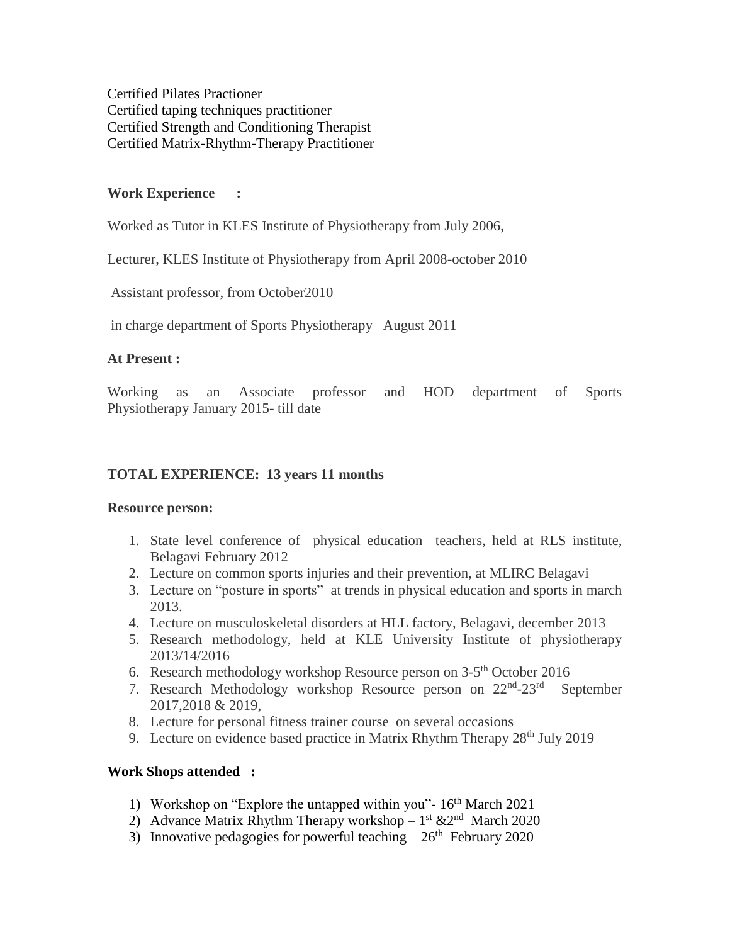Certified Pilates Practioner Certified taping techniques practitioner Certified Strength and Conditioning Therapist Certified Matrix-Rhythm-Therapy Practitioner

## **Work Experience :**

Worked as Tutor in KLES Institute of Physiotherapy from July 2006,

Lecturer, KLES Institute of Physiotherapy from April 2008-october 2010

Assistant professor, from October2010

in charge department of Sports Physiotherapy August 2011

## **At Present :**

Working as an Associate professor and HOD department of Sports Physiotherapy January 2015- till date

## **TOTAL EXPERIENCE: 13 years 11 months**

## **Resource person:**

- 1. State level conference of physical education teachers, held at RLS institute, Belagavi February 2012
- 2. Lecture on common sports injuries and their prevention, at MLIRC Belagavi
- 3. Lecture on "posture in sports" at trends in physical education and sports in march 2013.
- 4. Lecture on musculoskeletal disorders at HLL factory, Belagavi, december 2013
- 5. Research methodology, held at KLE University Institute of physiotherapy 2013/14/2016
- 6. Research methodology workshop Resource person on  $3-5<sup>th</sup>$  October 2016
- 7. Research Methodology workshop Resource person on 22<sup>nd</sup>-23<sup>rd</sup> September 2017,2018 & 2019,
- 8. Lecture for personal fitness trainer course on several occasions
- 9. Lecture on evidence based practice in Matrix Rhythm Therapy  $28<sup>th</sup>$  July 2019

## **Work Shops attended :**

- 1) Workshop on "Explore the untapped within you"-  $16<sup>th</sup>$  March 2021
- 2) Advance Matrix Rhythm Therapy workshop  $-1^{st}$  &  $2^{nd}$  March 2020
- 3) Innovative pedagogies for powerful teaching  $-26<sup>th</sup>$  February 2020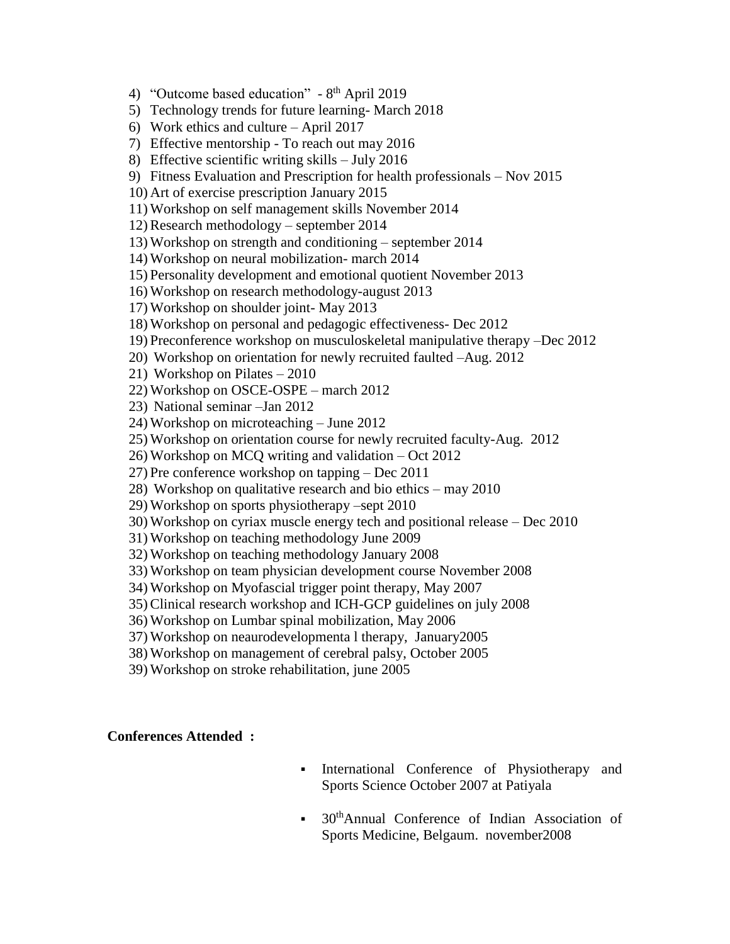4) "Outcome based education" - 8<sup>th</sup> April 2019

5) Technology trends for future learning- March 2018

6) Work ethics and culture – April 2017

7) Effective mentorship - To reach out may 2016

8) Effective scientific writing skills – July 2016

9) Fitness Evaluation and Prescription for health professionals – Nov 2015

10) Art of exercise prescription January 2015

11) Workshop on self management skills November 2014

12) Research methodology – september 2014

13) Workshop on strength and conditioning – september 2014

14) Workshop on neural mobilization- march 2014

15) Personality development and emotional quotient November 2013

16) Workshop on research methodology-august 2013

17) Workshop on shoulder joint- May 2013

18) Workshop on personal and pedagogic effectiveness- Dec 2012

19) Preconference workshop on musculoskeletal manipulative therapy –Dec 2012

20) Workshop on orientation for newly recruited faulted –Aug. 2012

21) Workshop on Pilates – 2010

22) Workshop on OSCE-OSPE – march 2012

23) National seminar –Jan 2012

24) Workshop on microteaching – June 2012

25) Workshop on orientation course for newly recruited faculty-Aug. 2012

26) Workshop on MCQ writing and validation – Oct 2012

27) Pre conference workshop on tapping – Dec 2011

28) Workshop on qualitative research and bio ethics – may 2010

29) Workshop on sports physiotherapy –sept 2010

30) Workshop on cyriax muscle energy tech and positional release – Dec 2010

31) Workshop on teaching methodology June 2009

32) Workshop on teaching methodology January 2008

33) Workshop on team physician development course November 2008

34) Workshop on Myofascial trigger point therapy, May 2007

35) Clinical research workshop and ICH-GCP guidelines on july 2008

36) Workshop on Lumbar spinal mobilization, May 2006

37) Workshop on neaurodevelopmenta l therapy, January2005

38) Workshop on management of cerebral palsy, October 2005

39) Workshop on stroke rehabilitation, june 2005

#### **Conferences Attended :**

- International Conference of Physiotherapy and Sports Science October 2007 at Patiyala
- 30thAnnual Conference of Indian Association of Sports Medicine, Belgaum. november2008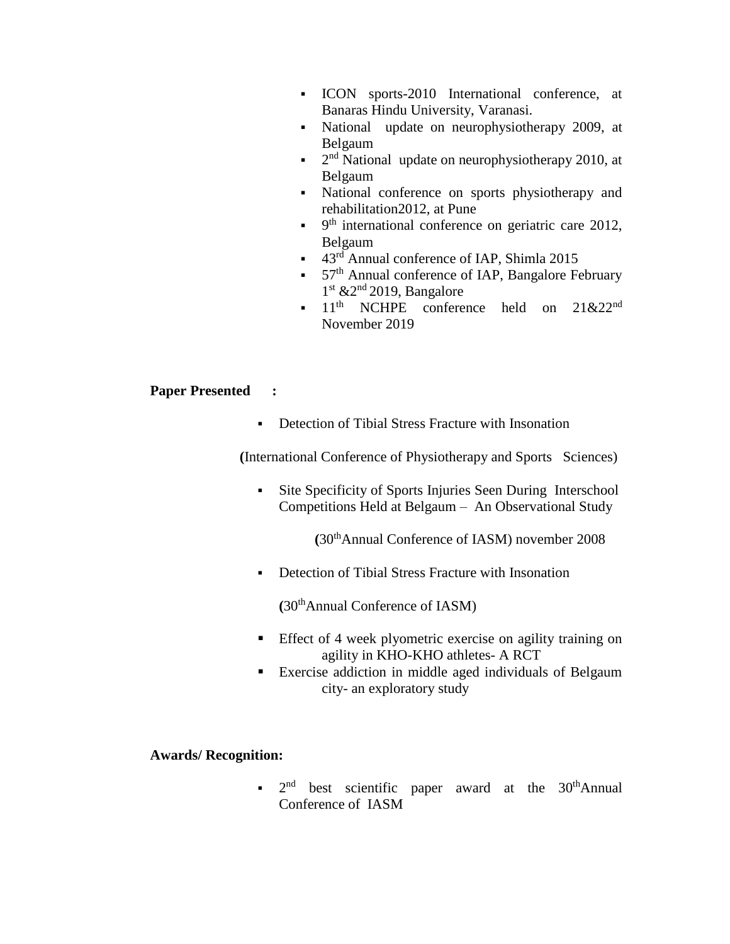- ICON sports-2010 International conference, at Banaras Hindu University, Varanasi.
- National update on neurophysiotherapy 2009, at Belgaum
- $\blacksquare$   $2<sup>nd</sup>$  National update on neurophysiotherapy 2010, at Belgaum
- National conference on sports physiotherapy and rehabilitation2012, at Pune
- $\bullet$  9<sup>th</sup> international conference on geriatric care 2012, Belgaum
- $\blacksquare$  43<sup>rd</sup> Annual conference of IAP, Shimla 2015
- $\bullet$  57<sup>th</sup> Annual conference of IAP, Bangalore February  $1<sup>st</sup>$  &  $2<sup>nd</sup>$  2019, Bangalore
- $\blacksquare$  11<sup>th</sup> NCHPE conference held on 21&22<sup>nd</sup> November 2019

## **Paper Presented :**

**•** Detection of Tibial Stress Fracture with Insonation

**(**International Conference of Physiotherapy and Sports Sciences)

 Site Specificity of Sports Injuries Seen During Interschool Competitions Held at Belgaum – An Observational Study

 **(**30thAnnual Conference of IASM) november 2008

Detection of Tibial Stress Fracture with Insonation

**(**30thAnnual Conference of IASM)

- Effect of 4 week plyometric exercise on agility training on agility in KHO-KHO athletes- A RCT
- Exercise addiction in middle aged individuals of Belgaum city- an exploratory study

## **Awards/ Recognition:**

 $\bullet$  2<sup>nd</sup> best scientific paper award at the 30<sup>th</sup>Annual Conference of IASM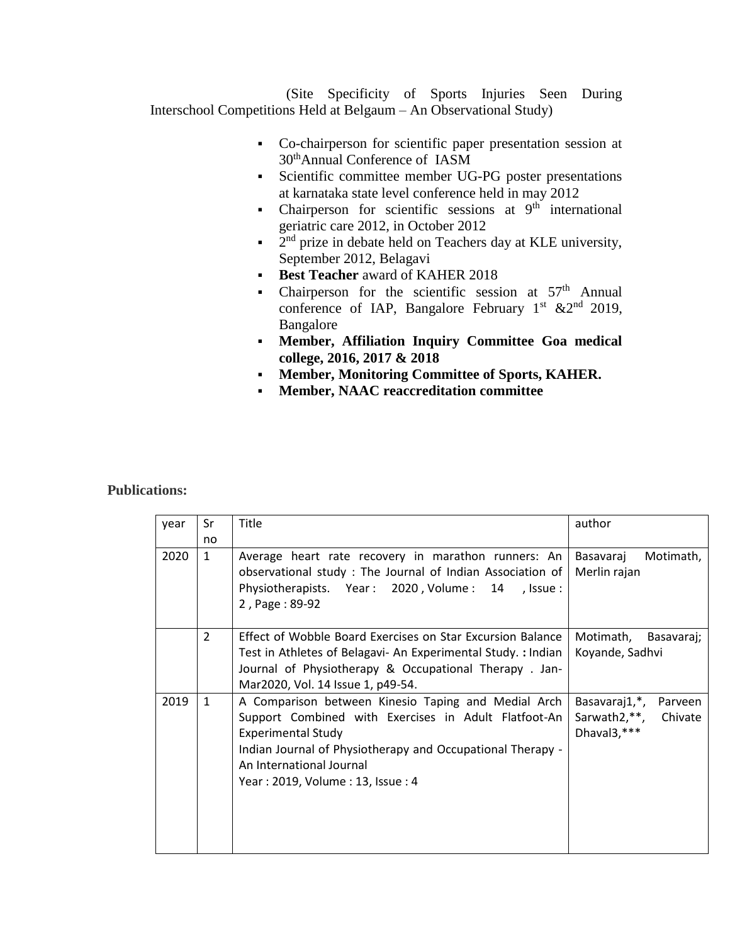(Site Specificity of Sports Injuries Seen During Interschool Competitions Held at Belgaum – An Observational Study)

- Co-chairperson for scientific paper presentation session at 30thAnnual Conference of IASM
- Scientific committee member UG-PG poster presentations at karnataka state level conference held in may 2012
- Chairperson for scientific sessions at  $9<sup>th</sup>$  international geriatric care 2012, in October 2012
- 2  $2<sup>nd</sup>$  prize in debate held on Teachers day at KLE university, September 2012, Belagavi
- **Best Teacher** award of KAHER 2018
- Chairperson for the scientific session at  $57<sup>th</sup>$  Annual conference of IAP, Bangalore February 1st  $&2^{nd}$  2019, Bangalore
- **Member, Affiliation Inquiry Committee Goa medical college, 2016, 2017 & 2018**
- **Member, Monitoring Committee of Sports, KAHER.**
- **Member, NAAC reaccreditation committee**

## **Publications:**

| year | Sr           | Title                                                        | author                   |
|------|--------------|--------------------------------------------------------------|--------------------------|
|      | no           |                                                              |                          |
| 2020 | $\mathbf{1}$ | Average heart rate recovery in marathon runners: An          | Motimath,<br>Basavaraj   |
|      |              | observational study: The Journal of Indian Association of    | Merlin rajan             |
|      |              | Physiotherapists. Year: 2020, Volume: 14<br>, Issue :        |                          |
|      |              | 2, Page: 89-92                                               |                          |
|      | 2            | Effect of Wobble Board Exercises on Star Excursion Balance   | Motimath, Basavaraj;     |
|      |              | Test in Athletes of Belagavi- An Experimental Study.: Indian | Koyande, Sadhvi          |
|      |              | Journal of Physiotherapy & Occupational Therapy. Jan-        |                          |
|      |              | Mar2020, Vol. 14 Issue 1, p49-54.                            |                          |
| 2019 | $\mathbf{1}$ | A Comparison between Kinesio Taping and Medial Arch          | Basavaraj1,*,<br>Parveen |
|      |              | Support Combined with Exercises in Adult Flatfoot-An         | Sarwath2,**, Chivate     |
|      |              | <b>Experimental Study</b>                                    | Dhaval3,***              |
|      |              | Indian Journal of Physiotherapy and Occupational Therapy -   |                          |
|      |              | An International Journal                                     |                          |
|      |              | Year: 2019, Volume: 13, Issue: 4                             |                          |
|      |              |                                                              |                          |
|      |              |                                                              |                          |
|      |              |                                                              |                          |
|      |              |                                                              |                          |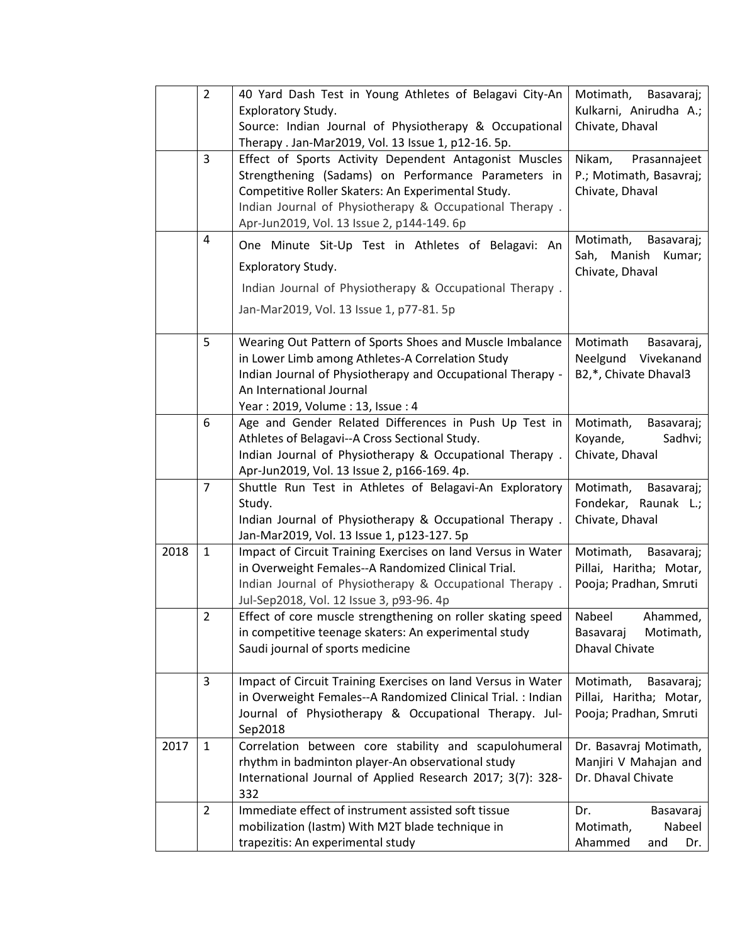|      | $\overline{2}$ | 40 Yard Dash Test in Young Athletes of Belagavi City-An<br>Exploratory Study.<br>Source: Indian Journal of Physiotherapy & Occupational<br>Therapy . Jan-Mar2019, Vol. 13 Issue 1, p12-16. 5p.                                                                               | Motimath,<br>Basavaraj;<br>Kulkarni, Anirudha A.;<br>Chivate, Dhaval         |
|------|----------------|------------------------------------------------------------------------------------------------------------------------------------------------------------------------------------------------------------------------------------------------------------------------------|------------------------------------------------------------------------------|
|      | 3              | Effect of Sports Activity Dependent Antagonist Muscles<br>Strengthening (Sadams) on Performance Parameters in<br>Competitive Roller Skaters: An Experimental Study.<br>Indian Journal of Physiotherapy & Occupational Therapy.<br>Apr-Jun2019, Vol. 13 Issue 2, p144-149. 6p | Nikam,<br>Prasannajeet<br>P.; Motimath, Basavraj;<br>Chivate, Dhaval         |
|      | 4              | One Minute Sit-Up Test in Athletes of Belagavi: An<br>Exploratory Study.<br>Indian Journal of Physiotherapy & Occupational Therapy.<br>Jan-Mar2019, Vol. 13 Issue 1, p77-81. 5p                                                                                              | Motimath,<br>Basavaraj;<br>Manish<br>Sah,<br>Kumar;<br>Chivate, Dhaval       |
|      | 5              | Wearing Out Pattern of Sports Shoes and Muscle Imbalance<br>in Lower Limb among Athletes-A Correlation Study<br>Indian Journal of Physiotherapy and Occupational Therapy -<br>An International Journal<br>Year: 2019, Volume: 13, Issue: 4                                   | Motimath<br>Basavaraj,<br>Vivekanand<br>Neelgund<br>B2,*, Chivate Dhaval3    |
|      | 6              | Age and Gender Related Differences in Push Up Test in<br>Athletes of Belagavi--A Cross Sectional Study.<br>Indian Journal of Physiotherapy & Occupational Therapy.<br>Apr-Jun2019, Vol. 13 Issue 2, p166-169. 4p.                                                            | Motimath,<br>Basavaraj;<br>Koyande,<br>Sadhvi;<br>Chivate, Dhaval            |
|      | $\overline{7}$ | Shuttle Run Test in Athletes of Belagavi-An Exploratory<br>Study.<br>Indian Journal of Physiotherapy & Occupational Therapy.<br>Jan-Mar2019, Vol. 13 Issue 1, p123-127. 5p                                                                                                   | Motimath,<br>Basavaraj;<br>Fondekar, Raunak L.;<br>Chivate, Dhaval           |
| 2018 | $\mathbf{1}$   | Impact of Circuit Training Exercises on land Versus in Water<br>in Overweight Females--A Randomized Clinical Trial.<br>Indian Journal of Physiotherapy & Occupational Therapy.<br>Jul-Sep2018, Vol. 12 Issue 3, p93-96. 4p                                                   | Motimath,<br>Basavaraj;<br>Pillai, Haritha; Motar,<br>Pooja; Pradhan, Smruti |
|      | $\overline{2}$ | Effect of core muscle strengthening on roller skating speed<br>in competitive teenage skaters: An experimental study<br>Saudi journal of sports medicine                                                                                                                     | Nabeel<br>Ahammed,<br>Motimath,<br>Basavaraj<br><b>Dhaval Chivate</b>        |
|      | 3              | Impact of Circuit Training Exercises on land Versus in Water<br>in Overweight Females--A Randomized Clinical Trial. : Indian<br>Journal of Physiotherapy & Occupational Therapy. Jul-<br>Sep2018                                                                             | Motimath,<br>Basavaraj;<br>Pillai, Haritha; Motar,<br>Pooja; Pradhan, Smruti |
| 2017 | 1              | Correlation between core stability and scapulohumeral<br>rhythm in badminton player-An observational study<br>International Journal of Applied Research 2017; 3(7): 328-<br>332                                                                                              | Dr. Basavraj Motimath,<br>Manjiri V Mahajan and<br>Dr. Dhaval Chivate        |
|      | $\overline{2}$ | Immediate effect of instrument assisted soft tissue<br>mobilization (lastm) With M2T blade technique in<br>trapezitis: An experimental study                                                                                                                                 | Dr.<br>Basavaraj<br>Motimath,<br>Nabeel<br>Ahammed<br>Dr.<br>and             |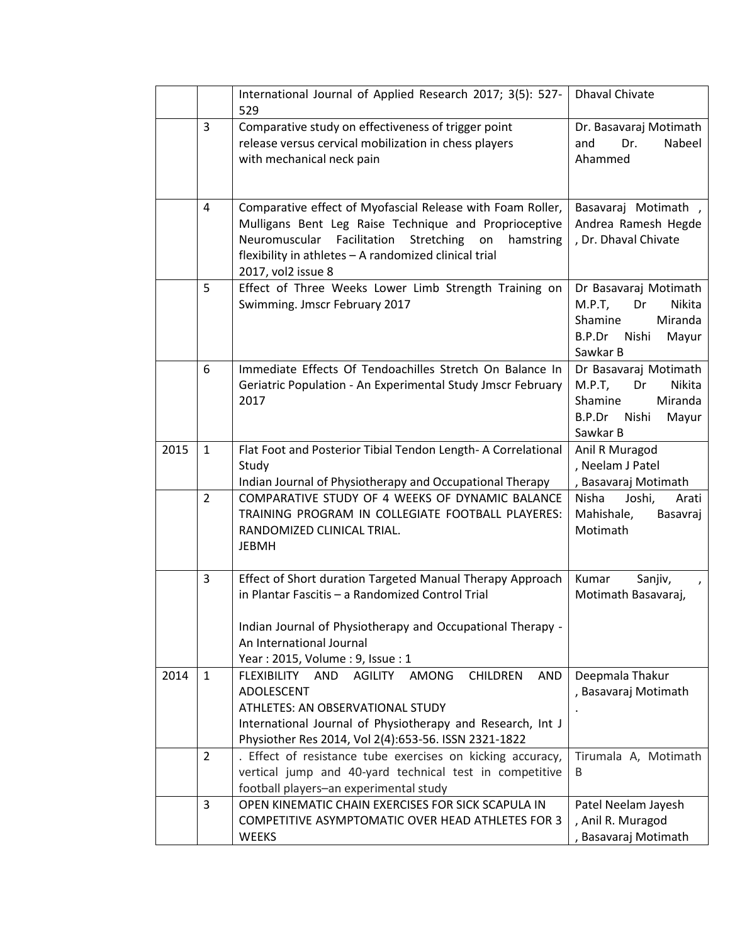|      |                | International Journal of Applied Research 2017; 3(5): 527-<br>529                                                                                                                                                                                                 | <b>Dhaval Chivate</b>                                                                                            |
|------|----------------|-------------------------------------------------------------------------------------------------------------------------------------------------------------------------------------------------------------------------------------------------------------------|------------------------------------------------------------------------------------------------------------------|
|      | $\overline{3}$ | Comparative study on effectiveness of trigger point<br>release versus cervical mobilization in chess players<br>with mechanical neck pain                                                                                                                         | Dr. Basavaraj Motimath<br>Nabeel<br>Dr.<br>and<br>Ahammed                                                        |
|      | 4              | Comparative effect of Myofascial Release with Foam Roller,<br>Mulligans Bent Leg Raise Technique and Proprioceptive<br>Neuromuscular Facilitation<br>Stretching<br>on<br>hamstring<br>flexibility in athletes - A randomized clinical trial<br>2017, vol2 issue 8 | Basavaraj Motimath,<br>Andrea Ramesh Hegde<br>, Dr. Dhaval Chivate                                               |
|      | 5              | Effect of Three Weeks Lower Limb Strength Training on<br>Swimming. Jmscr February 2017                                                                                                                                                                            | Dr Basavaraj Motimath<br>$M.P.T$ ,<br>Nikita<br>Dr<br>Shamine<br>Miranda<br>B.P.Dr<br>Nishi<br>Mayur<br>Sawkar B |
|      | 6              | Immediate Effects Of Tendoachilles Stretch On Balance In<br>Geriatric Population - An Experimental Study Jmscr February<br>2017                                                                                                                                   | Dr Basavaraj Motimath<br>$M.P.T$ ,<br>Dr<br>Nikita<br>Miranda<br>Shamine<br>B.P.Dr<br>Nishi<br>Mayur<br>Sawkar B |
| 2015 | $\mathbf{1}$   | Flat Foot and Posterior Tibial Tendon Length- A Correlational<br>Study<br>Indian Journal of Physiotherapy and Occupational Therapy                                                                                                                                | Anil R Muragod<br>, Neelam J Patel<br>, Basavaraj Motimath                                                       |
|      | $\overline{2}$ | COMPARATIVE STUDY OF 4 WEEKS OF DYNAMIC BALANCE<br>TRAINING PROGRAM IN COLLEGIATE FOOTBALL PLAYERES:<br>RANDOMIZED CLINICAL TRIAL.<br><b>JEBMH</b>                                                                                                                | Joshi,<br>Nisha<br>Arati<br>Mahishale,<br>Basavraj<br>Motimath                                                   |
|      | 3              | Effect of Short duration Targeted Manual Therapy Approach<br>in Plantar Fascitis - a Randomized Control Trial<br>Indian Journal of Physiotherapy and Occupational Therapy -<br>An International Journal<br>Year: 2015, Volume: 9, Issue: 1                        | Kumar<br>Sanjiv,<br>Motimath Basavaraj,                                                                          |
| 2014 | $\mathbf{1}$   | FLEXIBILITY AND<br><b>AGILITY</b><br><b>AMONG</b><br><b>CHILDREN</b><br><b>AND</b><br><b>ADOLESCENT</b><br>ATHLETES: AN OBSERVATIONAL STUDY<br>International Journal of Physiotherapy and Research, Int J<br>Physiother Res 2014, Vol 2(4):653-56. ISSN 2321-1822 | Deepmala Thakur<br>, Basavaraj Motimath                                                                          |
|      | $\overline{2}$ | . Effect of resistance tube exercises on kicking accuracy,<br>vertical jump and 40-yard technical test in competitive<br>football players-an experimental study                                                                                                   | Tirumala A, Motimath<br>B                                                                                        |
|      | 3              | OPEN KINEMATIC CHAIN EXERCISES FOR SICK SCAPULA IN<br>COMPETITIVE ASYMPTOMATIC OVER HEAD ATHLETES FOR 3<br><b>WEEKS</b>                                                                                                                                           | Patel Neelam Jayesh<br>, Anil R. Muragod<br>, Basavaraj Motimath                                                 |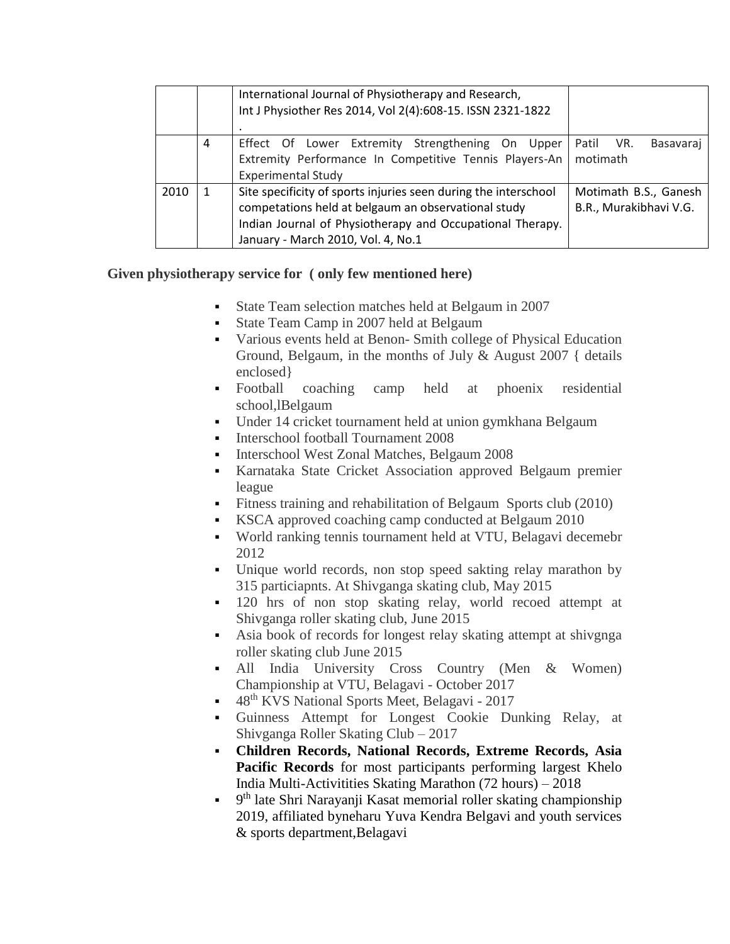|      |   | International Journal of Physiotherapy and Research,<br>Int J Physiother Res 2014, Vol 2(4):608-15. ISSN 2321-1822                                                                                                        |                                                 |
|------|---|---------------------------------------------------------------------------------------------------------------------------------------------------------------------------------------------------------------------------|-------------------------------------------------|
|      | 4 | Effect Of Lower Extremity Strengthening On Upper<br>Extremity Performance In Competitive Tennis Players-An<br><b>Experimental Study</b>                                                                                   | Patil<br>VR.<br>Basavaraj<br>motimath           |
| 2010 | 1 | Site specificity of sports injuries seen during the interschool<br>competations held at belgaum an observational study<br>Indian Journal of Physiotherapy and Occupational Therapy.<br>January - March 2010, Vol. 4, No.1 | Motimath B.S., Ganesh<br>B.R., Murakibhavi V.G. |

## **Given physiotherapy service for ( only few mentioned here)**

- State Team selection matches held at Belgaum in 2007
- State Team Camp in 2007 held at Belgaum
- Various events held at Benon- Smith college of Physical Education Ground, Belgaum, in the months of July & August 2007 { details enclosed}
- Football coaching camp held at phoenix residential school,lBelgaum
- Under 14 cricket tournament held at union gymkhana Belgaum
- Interschool football Tournament 2008
- Interschool West Zonal Matches, Belgaum 2008
- Karnataka State Cricket Association approved Belgaum premier league
- Fitness training and rehabilitation of Belgaum Sports club (2010)
- KSCA approved coaching camp conducted at Belgaum 2010
- World ranking tennis tournament held at VTU, Belagavi decemebr 2012
- Unique world records, non stop speed sakting relay marathon by 315 particiapnts. At Shivganga skating club, May 2015
- 120 hrs of non stop skating relay, world recoed attempt at Shivganga roller skating club, June 2015
- Asia book of records for longest relay skating attempt at shivgnga roller skating club June 2015
- All India University Cross Country (Men & Women) Championship at VTU, Belagavi - October 2017
- 48<sup>th</sup> KVS National Sports Meet, Belagavi 2017
- Guinness Attempt for Longest Cookie Dunking Relay, at Shivganga Roller Skating Club – 2017
- **Children Records, National Records, Extreme Records, Asia Pacific Records** for most participants performing largest Khelo India Multi-Activitities Skating Marathon (72 hours) – 2018
- <sup>9th</sup> late Shri Narayanji Kasat memorial roller skating championship 2019, affiliated byneharu Yuva Kendra Belgavi and youth services & sports department,Belagavi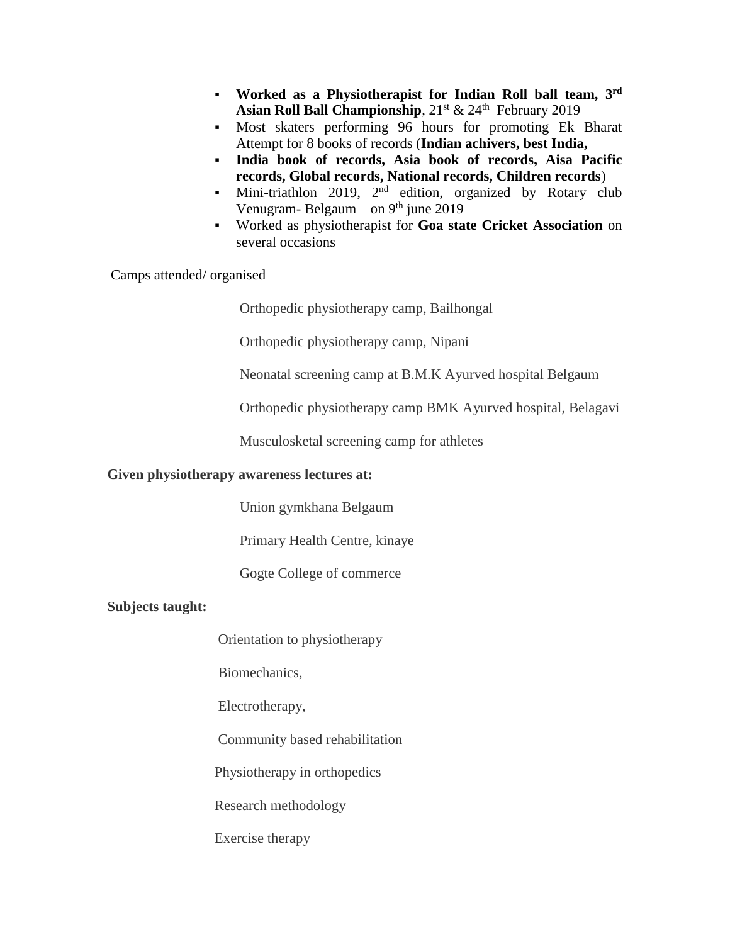- **worked as a Physiotherapist for Indian Roll ball team, 3rd** Asian Roll Ball Championship,  $21^{st}$  &  $24^{th}$  February 2019
- Most skaters performing 96 hours for promoting Ek Bharat Attempt for 8 books of records (**Indian achivers, best India,**
- **India book of records, Asia book of records, Aisa Pacific records, Global records, National records, Children records**)
- Mini-triathlon 2019,  $2^{nd}$  edition, organized by Rotary club Venugram- Belgaum on 9<sup>th</sup> june 2019
- Worked as physiotherapist for **Goa state Cricket Association** on several occasions

Camps attended/ organised

Orthopedic physiotherapy camp, Bailhongal

Orthopedic physiotherapy camp, Nipani

Neonatal screening camp at B.M.K Ayurved hospital Belgaum

Orthopedic physiotherapy camp BMK Ayurved hospital, Belagavi

Musculosketal screening camp for athletes

#### **Given physiotherapy awareness lectures at:**

Union gymkhana Belgaum

Primary Health Centre, kinaye

Gogte College of commerce

#### **Subjects taught:**

Orientation to physiotherapy

Biomechanics,

Electrotherapy,

Community based rehabilitation

Physiotherapy in orthopedics

Research methodology

Exercise therapy